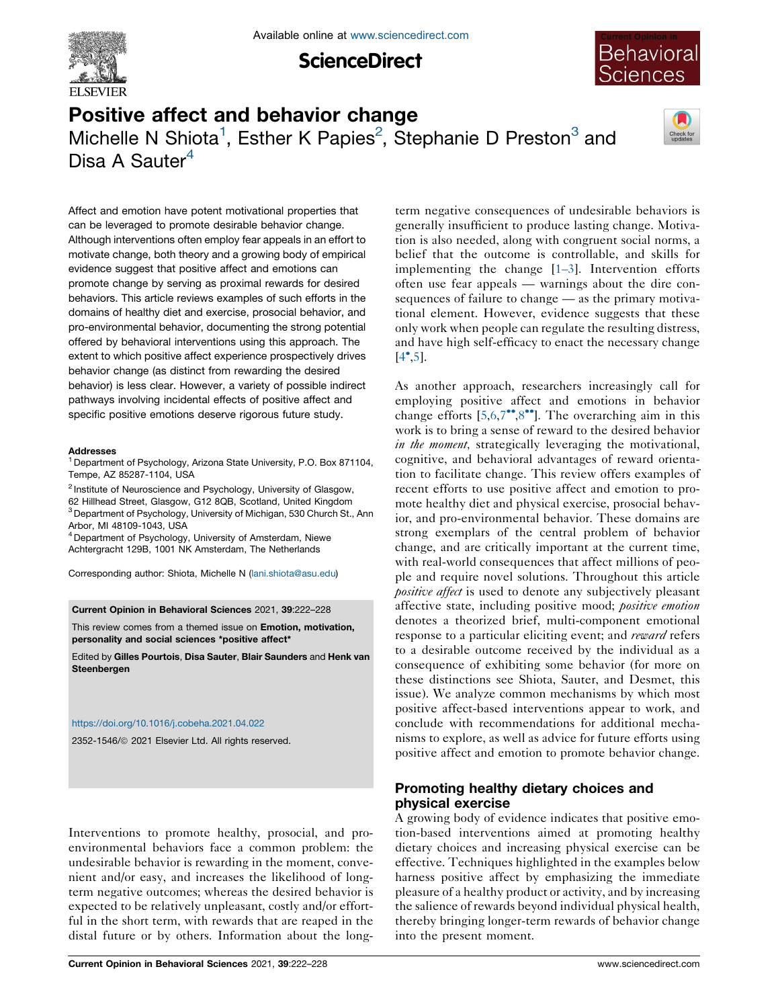

**ScienceDirect** 



# Positive affect and behavior change Michelle N Shiota<sup>1</sup>, Esther K Papies<sup>2</sup>, Stephanie D Preston<sup>3</sup> and Disa A Sauter<sup>4</sup>



Affect and emotion have potent motivational properties that can be leveraged to promote desirable behavior change. Although interventions often employ fear appeals in an effort to motivate change, both theory and a growing body of empirical evidence suggest that positive affect and emotions can promote change by serving as proximal rewards for desired behaviors. This article reviews examples of such efforts in the domains of healthy diet and exercise, prosocial behavior, and pro-environmental behavior, documenting the strong potential offered by behavioral interventions using this approach. The extent to which positive affect experience prospectively drives behavior change (as distinct from rewarding the desired behavior) is less clear. However, a variety of possible indirect pathways involving incidental effects of positive affect and specific positive emotions deserve rigorous future study.

#### Addresses

<sup>1</sup> Department of Psychology, Arizona State University, P.O. Box 871104, Tempe, AZ 85287-1104, USA

<sup>2</sup> Institute of Neuroscience and Psychology, University of Glasgow, 62 Hillhead Street, Glasgow, G12 8QB, Scotland, United Kingdom <sup>3</sup> Department of Psychology, University of Michigan, 530 Church St., Ann Arbor, MI 48109-1043, USA

<sup>4</sup> Department of Psychology, University of Amsterdam, Niewe Achtergracht 129B, 1001 NK Amsterdam, The Netherlands

Corresponding author: Shiota, Michelle N [\(lani.shiota@asu.edu](mailto:lani.shiota@asu.edu))

Current Opinion in Behavioral Sciences 2021, 39:222–228

This review comes from a themed issue on Emotion, motivation, personality and social sciences \*positive affect\*

Edited by Gilles Pourtois, Disa Sauter, Blair Saunders and Henk van Steenbergen

#### <https://doi.org/10.1016/j.cobeha.2021.04.022>

2352-1546/ã 2021 Elsevier Ltd. All rights reserved.

Interventions to promote healthy, prosocial, and proenvironmental behaviors face a common problem: the undesirable behavior is rewarding in the moment, convenient and/or easy, and increases the likelihood of longterm negative outcomes; whereas the desired behavior is expected to be relatively unpleasant, costly and/or effortful in the short term, with rewards that are reaped in the distal future or by others. Information about the longterm negative consequences of undesirable behaviors is generally insufficient to produce lasting change. Motivation is also needed, along with congruent social norms, a belief that the outcome is controllable, and skills for implementing the change [\[1–3](#page-4-0)]. Intervention efforts often use fear appeals — warnings about the dire consequences of failure to change — as the primary motivational element. However, evidence suggests that these only work when people can regulate the resulting distress, and have high self-efficacy to enact the necessary change  $[4^{\bullet}, 5]$  $[4^{\bullet}, 5]$  $[4^{\bullet}, 5]$ .

As another approach, researchers increasingly call for employing positive affect and emotions in behavior change efforts  $[5,6,7^{\bullet\bullet},8^{\bullet\bullet}]$  $[5,6,7^{\bullet\bullet},8^{\bullet\bullet}]$  $[5,6,7^{\bullet\bullet},8^{\bullet\bullet}]$ . The overarching aim in this work is to bring a sense of reward to the desired behavior in the moment, strategically leveraging the motivational, cognitive, and behavioral advantages of reward orientation to facilitate change. This review offers examples of recent efforts to use positive affect and emotion to promote healthy diet and physical exercise, prosocial behavior, and pro-environmental behavior. These domains are strong exemplars of the central problem of behavior change, and are critically important at the current time, with real-world consequences that affect millions of people and require novel solutions. Throughout this article positive affect is used to denote any subjectively pleasant affective state, including positive mood; *positive emotion* denotes a theorized brief, multi-component emotional response to a particular eliciting event; and reward refers to a desirable outcome received by the individual as a consequence of exhibiting some behavior (for more on these distinctions see Shiota, Sauter, and Desmet, this issue). We analyze common mechanisms by which most positive affect-based interventions appear to work, and conclude with recommendations for additional mechanisms to explore, as well as advice for future efforts using positive affect and emotion to promote behavior change.

# Promoting healthy dietary choices and physical exercise

A growing body of evidence indicates that positive emotion-based interventions aimed at promoting healthy dietary choices and increasing physical exercise can be effective. Techniques highlighted in the examples below harness positive affect by emphasizing the immediate pleasure of a healthy product or activity, and by increasing the salience of rewards beyond individual physical health, thereby bringing longer-term rewards of behavior change into the present moment.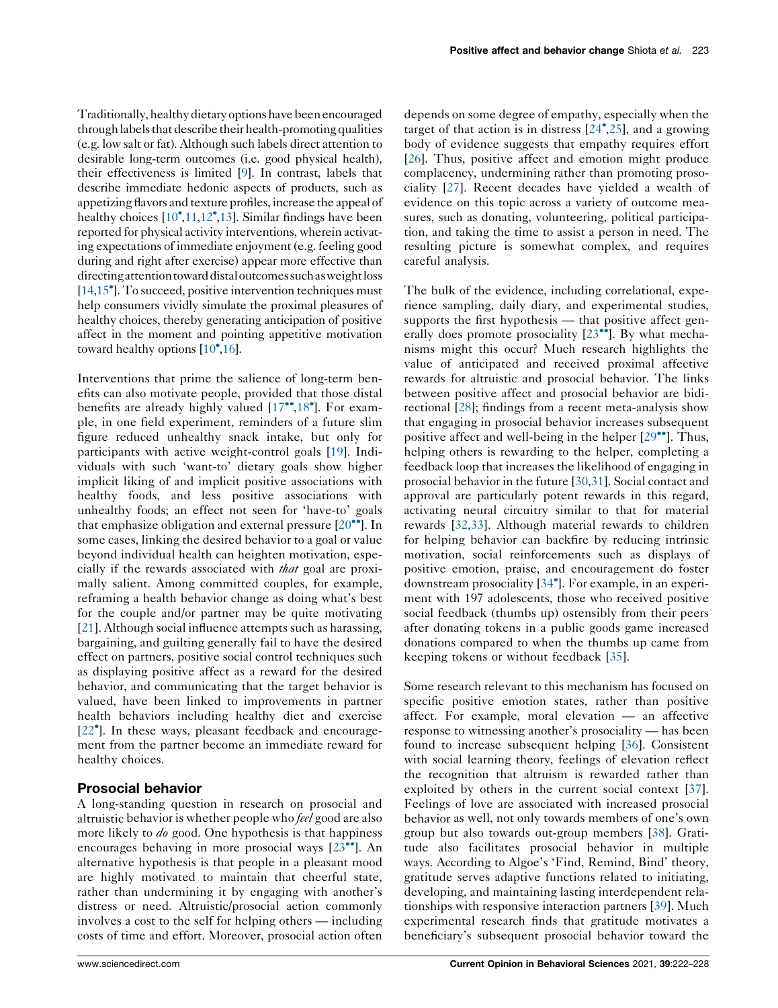Traditionally, healthy dietaryoptions have been encouraged through labels that describe their health-promoting qualities (e.g. low salt or fat). Although such labels direct attention to desirable long-term outcomes (i.e. good physical health), their effectiveness is limited [\[9\]](#page-4-0). In contrast, labels that describe immediate hedonic aspects of products, such as appetizing flavors and texture profiles, increase the appeal of healthy choices [\[10](#page-4-0)<sup>°</sup>,[11](#page-4-0),[12](#page-4-0)<sup>°</sup>[,13\]](#page-4-0). Similar findings have been reported for physical activity interventions, wherein activating expectations of immediate enjoyment (e.g. feeling good during and right after exercise) appear more effective than directingattentiontowarddistaloutcomessuchasweightloss [\[14,15](#page-4-0)<sup>°</sup>]. To succeed, positive intervention techniques must help consumers vividly simulate the proximal pleasures of healthy choices, thereby generating anticipation of positive affect in the moment and pointing appetitive motivation toward healthy options  $[10^{\bullet}, 16]$  $[10^{\bullet}, 16]$ .

Interventions that prime the salience of long-term benefits can also motivate people, provided that those distal benefits are already highly valued [\[17](#page-4-0)",[18](#page-4-0)"]. For example, in one field experiment, reminders of a future slim figure reduced unhealthy snack intake, but only for participants with active weight-control goals [\[19](#page-4-0)]. Individuals with such 'want-to' dietary goals show higher implicit liking of and implicit positive associations with healthy foods, and less positive associations with unhealthy foods; an effect not seen for 'have-to' goals that emphasize obligation and external pressure  $[20\text{''}]$  $[20\text{''}]$  $[20\text{''}]$ . In some cases, linking the desired behavior to a goal or value beyond individual health can heighten motivation, especially if the rewards associated with that goal are proximally salient. Among committed couples, for example, reframing a health behavior change as doing what's best for the couple and/or partner may be quite motivating [\[21](#page-5-0)]. Although social influence attempts such as harassing, bargaining, and guilting generally fail to have the desired effect on partners, positive social control techniques such as displaying positive affect as a reward for the desired behavior, and communicating that the target behavior is valued, have been linked to improvements in partner health behaviors including healthy diet and exercise [\[22](#page-5-0) ]. In these ways, pleasant feedback and encouragement from the partner become an immediate reward for healthy choices.

## Prosocial behavior

A long-standing question in research on prosocial and altruistic behavior is whether people who *feel* good are also more likely to *do* good. One hypothesis is that happiness encourages behaving in more prosocial ways  $[23^{\bullet\bullet}]$  $[23^{\bullet\bullet}]$ . An alternative hypothesis is that people in a pleasant mood are highly motivated to maintain that cheerful state, rather than undermining it by engaging with another's distress or need. Altruistic/prosocial action commonly involves a cost to the self for helping others — including costs of time and effort. Moreover, prosocial action often

depends on some degree of empathy, especially when the target of that action is in distress  $[24^{\bullet}, 25]$  $[24^{\bullet}, 25]$  $[24^{\bullet}, 25]$ , and a growing body of evidence suggests that empathy requires effort [[26](#page-5-0)]. Thus, positive affect and emotion might produce complacency, undermining rather than promoting prosociality [[27\]](#page-5-0). Recent decades have yielded a wealth of evidence on this topic across a variety of outcome measures, such as donating, volunteering, political participation, and taking the time to assist a person in need. The resulting picture is somewhat complex, and requires careful analysis.

The bulk of the evidence, including correlational, experience sampling, daily diary, and experimental studies, supports the first hypothesis — that positive affect generally does promote prosociality  $[23\text{''}]$  $[23\text{''}]$  $[23\text{''}]$ . By what mechanisms might this occur? Much research highlights the value of anticipated and received proximal affective rewards for altruistic and prosocial behavior. The links between positive affect and prosocial behavior are bidirectional [\[28](#page-5-0)]; findings from a recent meta-analysis show that engaging in prosocial behavior increases subsequent positive affect and well-being in the helper  $[29\text{°}$ . [Thus,](#page-5-0) helping others is rewarding to the helper, completing a feedback loop that increases the likelihood of engaging in prosocial behavior in the future [\[30](#page-5-0),[31\]](#page-5-0). Social contact and approval are particularly potent rewards in this regard, activating neural circuitry similar to that for material rewards [[32,33\]](#page-5-0). Although material rewards to children for helping behavior can backfire by reducing intrinsic motivation, social reinforcements such as displays of positive emotion, praise, and encouragement do foster downstream prosociality [[34](#page-5-0) ]. For example, in an experiment with 197 adolescents, those who received positive social feedback (thumbs up) ostensibly from their peers after donating tokens in a public goods game increased donations compared to when the thumbs up came from keeping tokens or without feedback [\[35](#page-5-0)].

Some research relevant to this mechanism has focused on specific positive emotion states, rather than positive affect. For example, moral elevation — an affective response to witnessing another's prosociality — has been found to increase subsequent helping [[36\]](#page-5-0). Consistent with social learning theory, feelings of elevation reflect the recognition that altruism is rewarded rather than exploited by others in the current social context [[37\]](#page-5-0). Feelings of love are associated with increased prosocial behavior as well, not only towards members of one's own group but also towards out-group members [[38\]](#page-5-0). Gratitude also facilitates prosocial behavior in multiple ways. According to Algoe's 'Find, Remind, Bind' theory, gratitude serves adaptive functions related to initiating, developing, and maintaining lasting interdependent relationships with responsive interaction partners [\[39](#page-5-0)]. Much experimental research finds that gratitude motivates a beneficiary's subsequent prosocial behavior toward the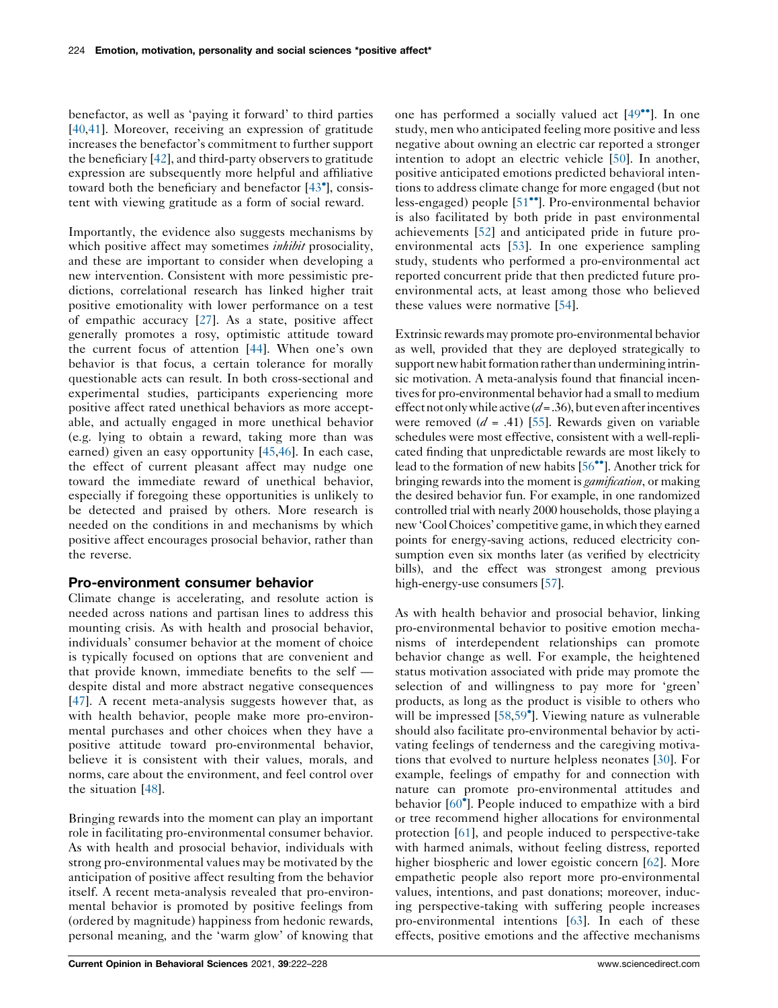benefactor, as well as 'paying it forward' to third parties [\[40](#page-5-0),[41\]](#page-5-0). Moreover, receiving an expression of gratitude increases the benefactor's commitment to further support the beneficiary [\[42](#page-5-0)], and third-party observers to gratitude expression are subsequently more helpful and affiliative toward both the beneficiary and benefactor [\[43](#page-5-0) ], consistent with viewing gratitude as a form of social reward.

Importantly, the evidence also suggests mechanisms by which positive affect may sometimes *inhibit* prosociality, and these are important to consider when developing a new intervention. Consistent with more pessimistic predictions, correlational research has linked higher trait positive emotionality with lower performance on a test of empathic accuracy [\[27](#page-5-0)]. As a state, positive affect generally promotes a rosy, optimistic attitude toward the current focus of attention [[44\]](#page-5-0). When one's own behavior is that focus, a certain tolerance for morally questionable acts can result. In both cross-sectional and experimental studies, participants experiencing more positive affect rated unethical behaviors as more acceptable, and actually engaged in more unethical behavior (e.g. lying to obtain a reward, taking more than was earned) given an easy opportunity [[45,46](#page-5-0)]. In each case, the effect of current pleasant affect may nudge one toward the immediate reward of unethical behavior, especially if foregoing these opportunities is unlikely to be detected and praised by others. More research is needed on the conditions in and mechanisms by which positive affect encourages prosocial behavior, rather than the reverse.

## Pro-environment consumer behavior

Climate change is accelerating, and resolute action is needed across nations and partisan lines to address this mounting crisis. As with health and prosocial behavior, individuals' consumer behavior at the moment of choice is typically focused on options that are convenient and that provide known, immediate benefits to the self despite distal and more abstract negative consequences [\[47](#page-5-0)]. A recent meta-analysis suggests however that, as with health behavior, people make more pro-environmental purchases and other choices when they have a positive attitude toward pro-environmental behavior, believe it is consistent with their values, morals, and norms, care about the environment, and feel control over the situation [\[48](#page-5-0)].

Bringing rewards into the moment can play an important role in facilitating pro-environmental consumer behavior. As with health and prosocial behavior, individuals with strong pro-environmental values may be motivated by the anticipation of positive affect resulting from the behavior itself. A recent meta-analysis revealed that pro-environmental behavior is promoted by positive feelings from (ordered by magnitude) happiness from hedonic rewards, personal meaning, and the 'warm glow' of knowing that

[one](#page-5-0) has performed a socially valued act  $[49$ <sup>\*\*</sup>]. In one study, men who anticipated feeling more positive and less negative about owning an electric car reported a stronger intention to adopt an electric vehicle [[50\]](#page-5-0). In another, positive anticipated emotions predicted behavioral intentions to address climate change for more engaged (but not less-engaged) people [[51](#page-5-0)<sup>••</sup>]. Pro-environmental behavior is also facilitated by both pride in past environmental achievements [[52\]](#page-6-0) and anticipated pride in future proenvironmental acts [\[53](#page-6-0)]. In one experience sampling study, students who performed a pro-environmental act reported concurrent pride that then predicted future proenvironmental acts, at least among those who believed these values were normative [\[54](#page-6-0)].

Extrinsic rewards may promote pro-environmental behavior as well, provided that they are deployed strategically to support new habit formation rather than undermining intrinsic motivation. A meta-analysis found that financial incentives for pro-environmental behavior had a small to medium effect not only while active  $(d=.36)$ , but even after incentives were removed  $(d = .41)$  [\[55\]](#page-6-0). Rewards given on variable schedules were most effective, consistent with a well-replicated finding that unpredictable rewards are most likely to lead to the formation of new habits [56<sup>••</sup>]. [Another](#page-6-0) trick for bringing rewards into the moment is *gamification*, or making the desired behavior fun. For example, in one randomized controlled trial with nearly 2000 households, those playing a new 'Cool Choices' competitive game, in which they earned points for energy-saving actions, reduced electricity consumption even six months later (as verified by electricity bills), and the effect was strongest among previous high-energy-use consumers [\[57\]](#page-6-0).

As with health behavior and prosocial behavior, linking pro-environmental behavior to positive emotion mechanisms of interdependent relationships can promote behavior change as well. For example, the heightened status motivation associated with pride may promote the selection of and willingness to pay more for 'green' products, as long as the product is visible to others who will be impressed [[58,59](#page-6-0)<sup>°</sup>]. Viewing nature as vulnerable should also facilitate pro-environmental behavior by activating feelings of tenderness and the caregiving motivations that evolved to nurture helpless neonates [[30\]](#page-5-0). For example, feelings of empathy for and connection with nature can promote pro-environmental attitudes and behavior [\[60](#page-6-0) ]. People induced to empathize with a bird or tree recommend higher allocations for environmental protection [\[61](#page-6-0)], and people induced to perspective-take with harmed animals, without feeling distress, reported higher biospheric and lower egoistic concern [\[62](#page-6-0)]. More empathetic people also report more pro-environmental values, intentions, and past donations; moreover, inducing perspective-taking with suffering people increases pro-environmental intentions [\[63](#page-6-0)]. In each of these effects, positive emotions and the affective mechanisms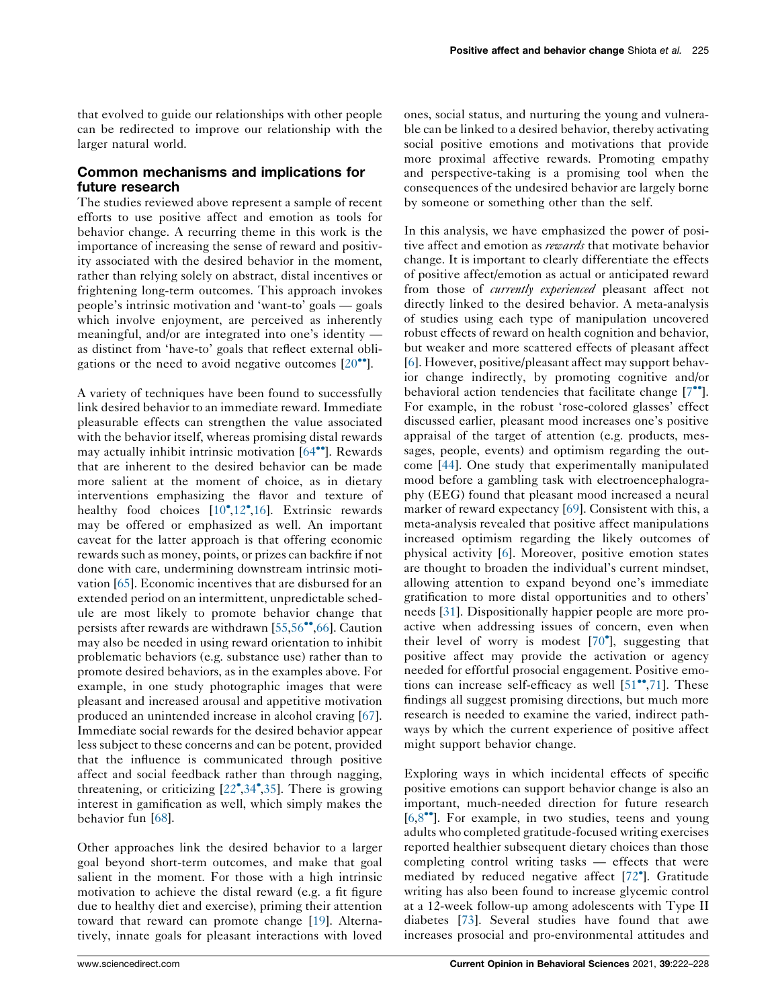that evolved to guide our relationships with other people can be redirected to improve our relationship with the larger natural world.

# Common mechanisms and implications for future research

The studies reviewed above represent a sample of recent efforts to use positive affect and emotion as tools for behavior change. A recurring theme in this work is the importance of increasing the sense of reward and positivity associated with the desired behavior in the moment, rather than relying solely on abstract, distal incentives or frightening long-term outcomes. This approach invokes people's intrinsic motivation and 'want-to' goals — goals which involve enjoyment, are perceived as inherently meaningful, and/or are integrated into one's identity as distinct from 'have-to' goals that reflect external obligations or the need to avoid negative outcomes  $[20\text{°}$  $[20\text{°}$  $[20\text{°}$ ].

A variety of techniques have been found to successfully link desired behavior to an immediate reward. Immediate pleasurable effects can strengthen the value associated with the behavior itself, whereas promising distal rewards may actually inhibit intrinsic motivation  $[64^{\bullet\bullet}]$  $[64^{\bullet\bullet}]$  $[64^{\bullet\bullet}]$ . Rewards that are inherent to the desired behavior can be made more salient at the moment of choice, as in dietary interventions emphasizing the flavor and texture of healthy food choices [\[10](#page-4-0)<sup>°</sup>,[12](#page-4-0)<sup>°</sup>,[16\]](#page-4-0). Extrinsic rewards may be offered or emphasized as well. An important caveat for the latter approach is that offering economic rewards such as money, points, or prizes can backfire if not done with care, undermining downstream intrinsic motivation [[65\]](#page-6-0). Economic incentives that are disbursed for an extended period on an intermittent, unpredictable schedule are most likely to promote behavior change that persists after rewards are withdrawn  $[55,56^{\bullet\bullet},66]$  $[55,56^{\bullet\bullet},66]$  $[55,56^{\bullet\bullet},66]$  $[55,56^{\bullet\bullet},66]$  $[55,56^{\bullet\bullet},66]$ . Caution may also be needed in using reward orientation to inhibit problematic behaviors (e.g. substance use) rather than to promote desired behaviors, as in the examples above. For example, in one study photographic images that were pleasant and increased arousal and appetitive motivation produced an unintended increase in alcohol craving [\[67](#page-6-0)]. Immediate social rewards for the desired behavior appear less subject to these concerns and can be potent, provided that the influence is communicated through positive affect and social feedback rather than through nagging, threatening, or criticizing [\[22](#page-5-0) ,[34](#page-5-0) ,[35\]](#page-5-0). There is growing interest in gamification as well, which simply makes the behavior fun [[68\]](#page-6-0).

Other approaches link the desired behavior to a larger goal beyond short-term outcomes, and make that goal salient in the moment. For those with a high intrinsic motivation to achieve the distal reward (e.g. a fit figure due to healthy diet and exercise), priming their attention toward that reward can promote change [\[19](#page-4-0)]. Alternatively, innate goals for pleasant interactions with loved ones, social status, and nurturing the young and vulnerable can be linked to a desired behavior, thereby activating social positive emotions and motivations that provide more proximal affective rewards. Promoting empathy and perspective-taking is a promising tool when the consequences of the undesired behavior are largely borne by someone or something other than the self.

In this analysis, we have emphasized the power of positive affect and emotion as *rewards* that motivate behavior change. It is important to clearly differentiate the effects of positive affect/emotion as actual or anticipated reward from those of *currently experienced* pleasant affect not directly linked to the desired behavior. A meta-analysis of studies using each type of manipulation uncovered robust effects of reward on health cognition and behavior, but weaker and more scattered effects of pleasant affect [[6](#page-4-0)]. However, positive/pleasant affect may support behavior change indirectly, by promoting cognitive and/or behavioral action tendencies that facilitate change  $[7\cdot$ . For example, in the robust 'rose-colored glasses' effect discussed earlier, pleasant mood increases one's positive appraisal of the target of attention (e.g. products, messages, people, events) and optimism regarding the outcome [\[44](#page-5-0)]. One study that experimentally manipulated mood before a gambling task with electroencephalography (EEG) found that pleasant mood increased a neural marker of reward expectancy [\[69](#page-6-0)]. Consistent with this, a meta-analysis revealed that positive affect manipulations increased optimism regarding the likely outcomes of physical activity [\[6](#page-4-0)]. Moreover, positive emotion states are thought to broaden the individual's current mindset, allowing attention to expand beyond one's immediate gratification to more distal opportunities and to others' needs [\[31](#page-5-0)]. Dispositionally happier people are more proactive when addressing issues of concern, even when their level of worry is modest  $[70^{\circ}]$  $[70^{\circ}]$ , suggesting that positive affect may provide the activation or agency needed for effortful prosocial engagement. Positive emotions can increase self-efficacy as well  $[51$  $[51$ <sup>\*\*</sup>[,71](#page-6-0)]. These findings all suggest promising directions, but much more research is needed to examine the varied, indirect pathways by which the current experience of positive affect might support behavior change.

Exploring ways in which incidental effects of specific positive emotions can support behavior change is also an important, much-needed direction for future research  $[6,8$  $[6,8$  $[6,8$ <sup> $\bullet$ </sup>. For example, in two studies, teens and young adults who completed gratitude-focused writing exercises reported healthier subsequent dietary choices than those completing control writing tasks — effects that were mediated by reduced negative affect [[72](#page-6-0) ]. Gratitude writing has also been found to increase glycemic control at a 12-week follow-up among adolescents with Type II diabetes [[73\]](#page-6-0). Several studies have found that awe increases prosocial and pro-environmental attitudes and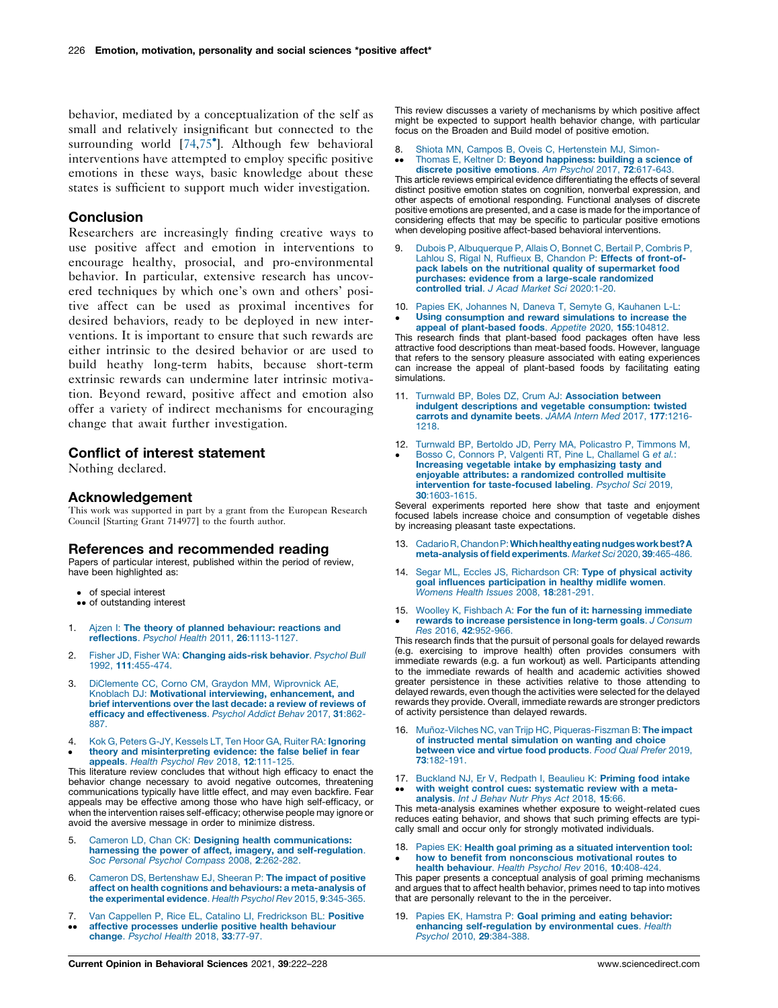<span id="page-4-0"></span>behavior, mediated by a conceptualization of the self as small and relatively insignificant but connected to the surrounding world [[74,75](#page-6-0) ]. Although few behavioral interventions have attempted to employ specific positive emotions in these ways, basic knowledge about these states is sufficient to support much wider investigation.

## Conclusion

Researchers are increasingly finding creative ways to use positive affect and emotion in interventions to encourage healthy, prosocial, and pro-environmental behavior. In particular, extensive research has uncovered techniques by which one's own and others' positive affect can be used as proximal incentives for desired behaviors, ready to be deployed in new interventions. It is important to ensure that such rewards are either intrinsic to the desired behavior or are used to build heathy long-term habits, because short-term extrinsic rewards can undermine later intrinsic motivation. Beyond reward, positive affect and emotion also offer a variety of indirect mechanisms for encouraging change that await further investigation.

## Conflict of interest statement

Nothing declared.

#### Acknowledgement

This work was supported in part by a grant from the European Research Council [Starting Grant 714977] to the fourth author.

#### References and recommended reading

Papers of particular interest, published within the period of review, have been highlighted as:

- of special interest
- •• of outstanding interest
- 1. Ajzen I: The theory of planned [behaviour:](http://refhub.elsevier.com/S2352-1546(21)00108-X/sbref0005) reactions and reflections. Psychol Health 2011, 26[:1113-1127.](http://refhub.elsevier.com/S2352-1546(21)00108-X/sbref0005)
- 2. Fisher JD, Fisher WA: [Changing](http://refhub.elsevier.com/S2352-1546(21)00108-X/sbref0010) aids-risk behavior. Psychol Bull 1992, 111[:455-474.](http://refhub.elsevier.com/S2352-1546(21)00108-X/sbref0010)
- 3. [DiClemente](http://refhub.elsevier.com/S2352-1546(21)00108-X/sbref0015) CC, Corno CM, Graydon MM, Wiprovnick AE, Knoblach DJ: Motivational interviewing, [enhancement,](http://refhub.elsevier.com/S2352-1546(21)00108-X/sbref0015) and brief [interventions](http://refhub.elsevier.com/S2352-1546(21)00108-X/sbref0015) over the last decade: a review of reviews of efficacy and [effectiveness](http://refhub.elsevier.com/S2352-1546(21)00108-X/sbref0015). Psychol Addict Behav 2017, 31:862- [887.](http://refhub.elsevier.com/S2352-1546(21)00108-X/sbref0015)
- 4.  $\bullet$ Kok G, Peters G-JY, Kessels LT, Ten Hoor GA, Ruiter RA: [Ignoring](http://refhub.elsevier.com/S2352-1546(21)00108-X/sbref0020) theory and [misinterpreting](http://refhub.elsevier.com/S2352-1546(21)00108-X/sbref0020) evidence: the false belief in fear appeals. Health Psychol Rev 2018, 12[:111-125.](http://refhub.elsevier.com/S2352-1546(21)00108-X/sbref0020)

This literature review concludes that without high efficacy to enact the behavior change necessary to avoid negative outcomes, threatening communications typically have little effect, and may even backfire. Fear appeals may be effective among those who have high self-efficacy, or when the intervention raises self-efficacy; otherwise people may ignore or avoid the aversive message in order to minimize distress.

- 5. Cameron LD, Chan CK: Designing health [communications:](http://refhub.elsevier.com/S2352-1546(21)00108-X/sbref0025) harnessing the power of affect, imagery, and [self-regulation](http://refhub.elsevier.com/S2352-1546(21)00108-X/sbref0025). Soc Personal Psychol Compass 2008, 2[:262-282.](http://refhub.elsevier.com/S2352-1546(21)00108-X/sbref0025)
- 6. Cameron DS, [Bertenshaw](http://refhub.elsevier.com/S2352-1546(21)00108-X/sbref0030) EJ, Sheeran P: The impact of positive affect on health cognitions and behaviours: a [meta-analysis](http://refhub.elsevier.com/S2352-1546(21)00108-X/sbref0030) of the [experimental](http://refhub.elsevier.com/S2352-1546(21)00108-X/sbref0030) evidence. Health Psychol Rev 2015, 9:345-365.
- 7.  $\ddot{\phantom{0}}$ Van Cappellen P, Rice EL, Catalino LI, [Fredrickson](http://refhub.elsevier.com/S2352-1546(21)00108-X/sbref0035) BL: Positive affective [processes](http://refhub.elsevier.com/S2352-1546(21)00108-X/sbref0035) underlie positive health behaviour change. [Psychol](http://refhub.elsevier.com/S2352-1546(21)00108-X/sbref0035) Health 2018, 33:77-97.

This review discusses a variety of mechanisms by which positive affect might be expected to support health behavior change, with particular focus on the Broaden and Build model of positive emotion.

8. Shiota MN, Campos B, Oveis C, [Hertenstein](http://refhub.elsevier.com/S2352-1546(21)00108-X/sbref0040) MJ, Simon-

 $\ddot{\phantom{0}}$ Thomas E, Keltner D: Beyond [happiness:](http://refhub.elsevier.com/S2352-1546(21)00108-X/sbref0040) building a science of discrete positive [emotions](http://refhub.elsevier.com/S2352-1546(21)00108-X/sbref0040). Am Psychol 2017, 72:617-643.

This article reviews empirical evidence differentiating the effects of several distinct positive emotion states on cognition, nonverbal expression, and other aspects of emotional responding. Functional analyses of discrete positive emotions are presented, and a case is made for the importance of considering effects that may be specific to particular positive emotions when developing positive affect-based behavioral interventions.

- 9. Dubois P, [Albuquerque](http://refhub.elsevier.com/S2352-1546(21)00108-X/sbref0045) P, Allais O, Bonnet C, Bertail P, Combris P, Lahlou S, Rigal N, Ruffieux B, [Chandon](http://refhub.elsevier.com/S2352-1546(21)00108-X/sbref0045) P: Effects of front-ofpack labels on the nutritional quality of [supermarket](http://refhub.elsevier.com/S2352-1546(21)00108-X/sbref0045) food purchases: evidence from a large-scale [randomized](http://refhub.elsevier.com/S2352-1546(21)00108-X/sbref0045) controlled trial. J Acad Market Sci [2020:1-20.](http://refhub.elsevier.com/S2352-1546(21)00108-X/sbref0045)
- 10. Papies EK, Johannes N, Daneva T, Semyte G, [Kauhanen](http://refhub.elsevier.com/S2352-1546(21)00108-X/sbref0050) L-L:
- $\cdot$ Using [consumption](http://refhub.elsevier.com/S2352-1546(21)00108-X/sbref0050) and reward simulations to increase the appeal of [plant-based](http://refhub.elsevier.com/S2352-1546(21)00108-X/sbref0050) foods. Appetite 2020, 155:104812.

This research finds that plant-based food packages often have less attractive food descriptions than meat-based foods. However, language that refers to the sensory pleasure associated with eating experiences can increase the appeal of plant-based foods by facilitating eating simulations.

- 11. Turnwald BP, Boles DZ, Crum AJ: [Association](http://refhub.elsevier.com/S2352-1546(21)00108-X/sbref0055) between indulgent descriptions and vegetable [consumption:](http://refhub.elsevier.com/S2352-1546(21)00108-X/sbref0055) twisted carrots and [dynamite](http://refhub.elsevier.com/S2352-1546(21)00108-X/sbref0055) beets. JAMA Intern Med 2017, 177:1216- [1218.](http://refhub.elsevier.com/S2352-1546(21)00108-X/sbref0055)
- 12. Turnwald BP, Bertoldo JD, Perry MA, [Policastro](http://refhub.elsevier.com/S2352-1546(21)00108-X/sbref0060) P, Timmons M, Bosso C, Connors P, Valgenti RT, Pine L, [Challamel](http://refhub.elsevier.com/S2352-1546(21)00108-X/sbref0060) G et al.:
- $\cdot$ Increasing vegetable intake by [emphasizing](http://refhub.elsevier.com/S2352-1546(21)00108-X/sbref0060) tasty and enjoyable attributes: a [randomized](http://refhub.elsevier.com/S2352-1546(21)00108-X/sbref0060) controlled multisite intervention for [taste-focused](http://refhub.elsevier.com/S2352-1546(21)00108-X/sbref0060) labeling. Psychol Sci 2019, 30[:1603-1615.](http://refhub.elsevier.com/S2352-1546(21)00108-X/sbref0060)

Several experiments reported here show that taste and enjoyment focused labels increase choice and consumption of vegetable dishes by increasing pleasant taste expectations.

- 13. Cadario R, Chandon P: Which healthy eating nudges work best? A [meta-analysis](http://refhub.elsevier.com/S2352-1546(21)00108-X/sbref0065) of field experiments. Market Sci 2020, 39:465-486.
- 14. Segar ML, Eccles JS, [Richardson](http://refhub.elsevier.com/S2352-1546(21)00108-X/sbref0070) CR: Type of physical activity goal influences [participation](http://refhub.elsevier.com/S2352-1546(21)00108-X/sbref0070) in healthy midlife women. Womens Health Issues 2008, 18[:281-291.](http://refhub.elsevier.com/S2352-1546(21)00108-X/sbref0070)
- 15. Woolley K, Fishbach A: For the fun of it: [harnessing](http://refhub.elsevier.com/S2352-1546(21)00108-X/sbref0075) immediate  $\cdot$ rewards to increase [persistence](http://refhub.elsevier.com/S2352-1546(21)00108-X/sbref0075) in long-term goals. J Consum Res 2016, 42[:952-966.](http://refhub.elsevier.com/S2352-1546(21)00108-X/sbref0075)

This research finds that the pursuit of personal goals for delayed rewards (e.g. exercising to improve health) often provides consumers with immediate rewards (e.g. a fun workout) as well. Participants attending to the immediate rewards of health and academic activities showed greater persistence in these activities relative to those attending to delayed rewards, even though the activities were selected for the delayed rewards they provide. Overall, immediate rewards are stronger predictors of activity persistence than delayed rewards.

- 16. Muñoz-Vilches NC, van Trijp HC, [Piqueras-Fiszman](http://refhub.elsevier.com/S2352-1546(21)00108-X/sbref0080) B: The impact of instructed mental [simulation](http://refhub.elsevier.com/S2352-1546(21)00108-X/sbref0080) on wanting and choice between vice and virtue food [products](http://refhub.elsevier.com/S2352-1546(21)00108-X/sbref0080). Food Qual Prefer 2019, 73[:182-191.](http://refhub.elsevier.com/S2352-1546(21)00108-X/sbref0080)
- 17. [Buckland](http://refhub.elsevier.com/S2352-1546(21)00108-X/sbref0085) NJ, Er V, Redpath I, Beaulieu K: Priming food intake  $\bullet\bullet$ with weight control cues: [systematic](http://refhub.elsevier.com/S2352-1546(21)00108-X/sbref0085) review with a meta[analysis](http://refhub.elsevier.com/S2352-1546(21)00108-X/sbref0085). Int J Behav Nutr Phys Act 2018, 15:66.

This meta-analysis examines whether exposure to weight-related cues reduces eating behavior, and shows that such priming effects are typically small and occur only for strongly motivated individuals.

18. Papies EK: Health goal priming as a situated [intervention](http://refhub.elsevier.com/S2352-1546(21)00108-X/sbref0090) tool:  $\cdot$ how to benefit from [nonconscious](http://refhub.elsevier.com/S2352-1546(21)00108-X/sbref0090) motivational routes to health [behaviour](http://refhub.elsevier.com/S2352-1546(21)00108-X/sbref0090). Health Psychol Rev 2016, 10:408-424.

This paper presents a conceptual analysis of goal priming mechanisms and argues that to affect health behavior, primes need to tap into motives that are personally relevant to the in the perceiver.

19. Papies EK, Hamstra P: Goal priming and eating [behavior:](http://refhub.elsevier.com/S2352-1546(21)00108-X/sbref0095) enhancing [self-regulation](http://refhub.elsevier.com/S2352-1546(21)00108-X/sbref0095) by environmental cues. Health Psychol 2010, 29[:384-388.](http://refhub.elsevier.com/S2352-1546(21)00108-X/sbref0095)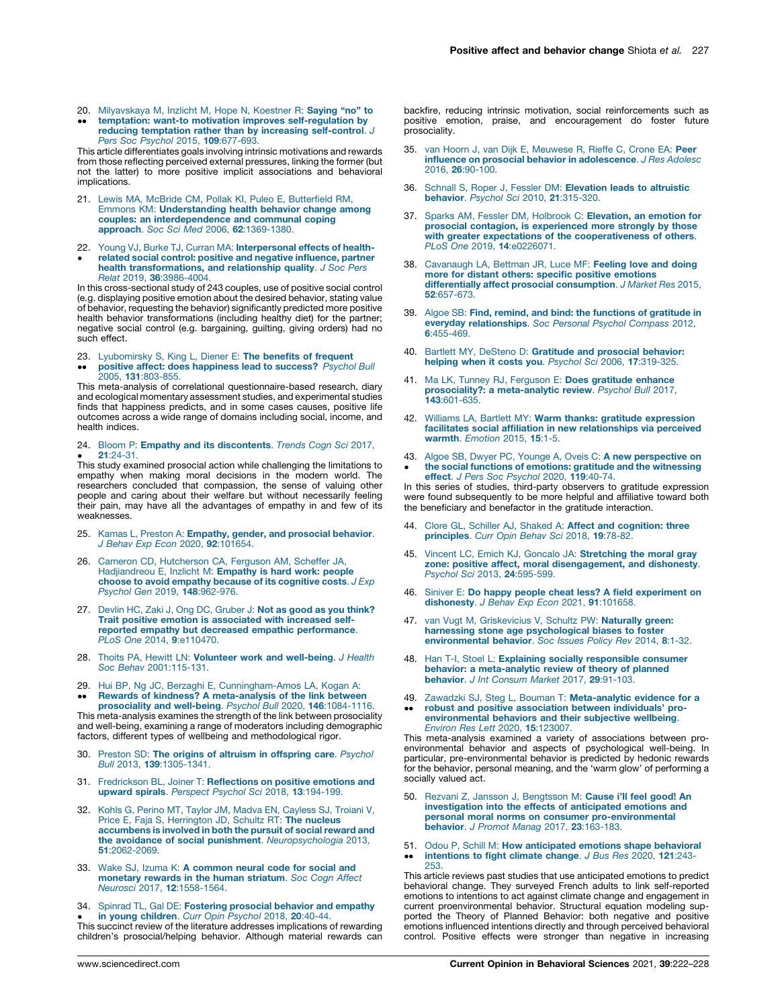- <span id="page-5-0"></span>20. [Milyavskaya](http://refhub.elsevier.com/S2352-1546(21)00108-X/sbref0100) M, Inzlicht M, Hope N, Koestner R: Saying "no" to
- $\ddot{\phantom{0}}$ temptation: want-to motivation improves [self-regulation](http://refhub.elsevier.com/S2352-1546(21)00108-X/sbref0100) by reducing temptation rather than by increasing [self-control](http://refhub.elsevier.com/S2352-1546(21)00108-X/sbref0100). J Pers Soc Psychol 2015, **109**[:677-693.](http://refhub.elsevier.com/S2352-1546(21)00108-X/sbref0100)

This article differentiates goals involving intrinsic motivations and rewards from those reflecting perceived external pressures, linking the former (but not the latter) to more positive implicit associations and behavioral implications.

- 21. Lewis MA, McBride CM, Pollak KI, Puleo E, [Butterfield](http://refhub.elsevier.com/S2352-1546(21)00108-X/sbref0105) RM, Emmons KM: [Understanding](http://refhub.elsevier.com/S2352-1546(21)00108-X/sbref0105) health behavior change among couples: an [interdependence](http://refhub.elsevier.com/S2352-1546(21)00108-X/sbref0105) and communal coping approach. Soc Sci Med 2006, 62[:1369-1380.](http://refhub.elsevier.com/S2352-1546(21)00108-X/sbref0105)
- 22. Young VJ, Burke TJ, Curran MA: [Interpersonal](http://refhub.elsevier.com/S2352-1546(21)00108-X/sbref0110) effects of health- $\bullet$ related social control: positive and negative [influence,](http://refhub.elsevier.com/S2352-1546(21)00108-X/sbref0110) partner health [transformations,](http://refhub.elsevier.com/S2352-1546(21)00108-X/sbref0110) and relationship quality. J Soc Pers Relat 2019, 36[:3986-4004.](http://refhub.elsevier.com/S2352-1546(21)00108-X/sbref0110)

In this cross-sectional study of 243 couples, use of positive social control (e.g. displaying positive emotion about the desired behavior, stating value of behavior, requesting the behavior) significantly predicted more positive health behavior transformations (including healthy diet) for the partner; negative social control (e.g. bargaining, guilting, giving orders) had no such effect.

- 23. [Lyubomirsky](http://refhub.elsevier.com/S2352-1546(21)00108-X/sbref0115) S, King L, Diener E: **The benefits of frequent**
- $\ddot{\phantom{0}}$ **positive affect: does [happiness](http://refhub.elsevier.com/S2352-1546(21)00108-X/sbref0115) lead to success?** *Psychol Bull*<br>2005, **131**[:803-855.](http://refhub.elsevier.com/S2352-1546(21)00108-X/sbref0115)

This meta-analysis of correlational questionnaire-based research, diary and ecological momentary assessment studies, and experimental studies finds that happiness predicts, and in some cases causes, positive life outcomes across a wide range of domains including social, income, and health indices.

24. Bloom P: Empathy and its [discontents](http://refhub.elsevier.com/S2352-1546(21)00108-X/sbref0120). Trends Cogn Sci 2017, 21[:24-31.](http://refhub.elsevier.com/S2352-1546(21)00108-X/sbref0120)

 $\bullet$  21:24-31.<br>This study examined prosocial action while challenging the limitations to empathy when making moral decisions in the modern world. The researchers concluded that compassion, the sense of valuing other people and caring about their welfare but without necessarily feeling their pain, may have all the advantages of empathy in and few of its weaknesses.

- 25. Kamas L, Preston A: [Empathy,](http://refhub.elsevier.com/S2352-1546(21)00108-X/sbref0125) gender, and prosocial behavior. J Behav Exp Econ 2020, 92[:101654.](http://refhub.elsevier.com/S2352-1546(21)00108-X/sbref0125)
- 26. Cameron CD, [Hutcherson](http://refhub.elsevier.com/S2352-1546(21)00108-X/sbref0130) CA, Ferguson AM, Scheffer JA, [Hadjiandreou](http://refhub.elsevier.com/S2352-1546(21)00108-X/sbref0130) E, Inzlicht M: Empathy is hard work: people choose to avoid empathy because of its [cognitive](http://refhub.elsevier.com/S2352-1546(21)00108-X/sbref0130) costs.  $J \cancel{Exp}$ Psychol Gen 2019, 148[:962-976.](http://refhub.elsevier.com/S2352-1546(21)00108-X/sbref0130)
- 27. Devlin HC, Zaki J, Ong DC, [Gruber](http://refhub.elsevier.com/S2352-1546(21)00108-X/sbref0135) J: Not as good as you think? Trait positive emotion is [associated](http://refhub.elsevier.com/S2352-1546(21)00108-X/sbref0135) with increased selfreported empathy but decreased empathic [performance](http://refhub.elsevier.com/S2352-1546(21)00108-X/sbref0135). PLoS One 2014, 9[:e110470.](http://refhub.elsevier.com/S2352-1546(21)00108-X/sbref0135)
- 28. Thoits PA, Hewitt LN: Volunteer work and [well-being](http://refhub.elsevier.com/S2352-1546(21)00108-X/sbref0140). J Health Soc Behav [2001:115-131.](http://refhub.elsevier.com/S2352-1546(21)00108-X/sbref0140)
- 29. Hui BP, Ng JC, Berzaghi E, [Cunningham-Amos](http://refhub.elsevier.com/S2352-1546(21)00108-X/sbref0145) LA, Kogan A: Rewards of kindness? A [meta-analysis](http://refhub.elsevier.com/S2352-1546(21)00108-X/sbref0145) of the link between

 $\ddot{\phantom{0}}$ [prosociality](http://refhub.elsevier.com/S2352-1546(21)00108-X/sbref0145) and well-being. Psychol Bull 2020, 146:1084-1116 This meta-analysis examines the strength of the link between prosociality and well-being, examining a range of moderators including demographic factors, different types of wellbeing and methodological rigor.

- 30. Preston SD: The origins of altruism in [offspring](http://refhub.elsevier.com/S2352-1546(21)00108-X/sbref0150) care. Psychol Bull 2013, 139[:1305-1341.](http://refhub.elsevier.com/S2352-1546(21)00108-X/sbref0150)
- 31. Fredrickson BL, Joiner T: [Reflections](http://refhub.elsevier.com/S2352-1546(21)00108-X/sbref0155) on positive emotions and upward spirals. Perspect Psychol Sci 2018, 13[:194-199.](http://refhub.elsevier.com/S2352-1546(21)00108-X/sbref0155)
- 32. Kohls G, Perino MT, Taylor JM, Madva EN, [Cayless](http://refhub.elsevier.com/S2352-1546(21)00108-X/sbref0160) SJ, Troiani V, Price E, Faja S, [Herrington](http://refhub.elsevier.com/S2352-1546(21)00108-X/sbref0160) JD, Schultz RT: The nucleus [accumbens](http://refhub.elsevier.com/S2352-1546(21)00108-X/sbref0160) is involved in both the pursuit of social reward and the avoidance of social punishment. [Neuropsychologia](http://refhub.elsevier.com/S2352-1546(21)00108-X/sbref0160) 2013, 51[:2062-2069.](http://refhub.elsevier.com/S2352-1546(21)00108-X/sbref0160)
- 33. Wake SJ, Izuma K: A [common](http://refhub.elsevier.com/S2352-1546(21)00108-X/sbref0165) neural code for social and [monetary](http://refhub.elsevier.com/S2352-1546(21)00108-X/sbref0165) rewards in the human striatum. Soc Cogn Affect Neurosci 2017, 12[:1558-1564.](http://refhub.elsevier.com/S2352-1546(21)00108-X/sbref0165)

34. Spinrad TL, Gal DE: [Fostering](http://refhub.elsevier.com/S2352-1546(21)00108-X/sbref0170) prosocial behavior and empathy

• In young children. Carr Opin Psychol 2018, 20:40-44.<br>This succinct review of the literature addresses implications of rewarding in young [children](http://refhub.elsevier.com/S2352-1546(21)00108-X/sbref0170). Curr Opin Psychol 2018, 20:40-44. children's prosocial/helping behavior. Although material rewards can backfire, reducing intrinsic motivation, social reinforcements such as positive emotion, praise, and encouragement do foster future prosociality.

- 35. van Hoorn J, van Dijk E, [Meuwese](http://refhub.elsevier.com/S2352-1546(21)00108-X/sbref0175) R, Rieffe C, Crone EA: Peer influence on prosocial behavior in [adolescence](http://refhub.elsevier.com/S2352-1546(21)00108-X/sbref0175). J Res Adolesc 2016, 26[:90-100.](http://refhub.elsevier.com/S2352-1546(21)00108-X/sbref0175)
- 36. Schnall S, Roper J, Fessler DM: [Elevation](http://refhub.elsevier.com/S2352-1546(21)00108-X/sbref0180) leads to altruistic behavior. Psychol Sci 2010, 21[:315-320.](http://refhub.elsevier.com/S2352-1546(21)00108-X/sbref0180)
- 37. Sparks AM, Fessler DM, Holbrook C: [Elevation,](http://refhub.elsevier.com/S2352-1546(21)00108-X/sbref0185) an emotion for prosocial contagion, is [experienced](http://refhub.elsevier.com/S2352-1546(21)00108-X/sbref0185) more strongly by those with greater expectations of the [cooperativeness](http://refhub.elsevier.com/S2352-1546(21)00108-X/sbref0185) of others.<br>PLoS One 2019, 14[:e0226071.](http://refhub.elsevier.com/S2352-1546(21)00108-X/sbref0185)
- 38. [Cavanaugh](http://refhub.elsevier.com/S2352-1546(21)00108-X/sbref0190) LA, Bettman JR, Luce MF: Feeling love and doing more for distant others: specific positive [emotions](http://refhub.elsevier.com/S2352-1546(21)00108-X/sbref0190) differentially affect prosocial [consumption](http://refhub.elsevier.com/S2352-1546(21)00108-X/sbref0190). J Market Res 2015, 52[:657-673.](http://refhub.elsevier.com/S2352-1546(21)00108-X/sbref0190)
- 39. Algoe SB: Find, remind, and bind: the [functions](http://refhub.elsevier.com/S2352-1546(21)00108-X/sbref0195) of gratitude in everyday [relationships](http://refhub.elsevier.com/S2352-1546(21)00108-X/sbref0195). Soc Personal Psychol Compass 2012, 6[:455-469.](http://refhub.elsevier.com/S2352-1546(21)00108-X/sbref0195)
- 40. Bartlett MY, DeSteno D: [Gratitude](http://refhub.elsevier.com/S2352-1546(21)00108-X/sbref0200) and prosocial behavior: helping when it costs you. Psychol Sci 2006, 17[:319-325.](http://refhub.elsevier.com/S2352-1546(21)00108-X/sbref0200)
- 41. Ma LK, Tunney RJ, Ferguson E: Does [gratitude](http://refhub.elsevier.com/S2352-1546(21)00108-X/sbref0205) enhance prosociality?: a [meta-analytic](http://refhub.elsevier.com/S2352-1546(21)00108-X/sbref0205) review. Psychol Bull 2017, 143[:601-635.](http://refhub.elsevier.com/S2352-1546(21)00108-X/sbref0205)
- 42. Williams LA, Bartlett MY: Warm thanks: gratitude [expression](http://refhub.elsevier.com/S2352-1546(21)00108-X/sbref0210) facilitates social affiliation in new [relationships](http://refhub.elsevier.com/S2352-1546(21)00108-X/sbref0210) via perceived warmth. [Emotion](http://refhub.elsevier.com/S2352-1546(21)00108-X/sbref0210) 2015, 15:1-5.
- 43.  $\cdot$ Algoe SB, Dwyer PC, Younge A, Oveis C: A new [perspective](http://refhub.elsevier.com/S2352-1546(21)00108-X/sbref0215) on the social functions of emotions: gratitude and the [witnessing](http://refhub.elsevier.com/S2352-1546(21)00108-X/sbref0215) effect. J Pers Soc [Psychol](http://refhub.elsevier.com/S2352-1546(21)00108-X/sbref0215) 2020, 119:40-74.

In this series of studies, third-party observers to gratitude expression were found subsequently to be more helpful and affiliative toward both the beneficiary and benefactor in the gratitude interaction.

- 44. Clore GL, Schiller AJ, Shaked A: **Affect and [cognition:](http://refhub.elsevier.com/S2352-1546(21)00108-X/sbref0220) three** [principles](http://refhub.elsevier.com/S2352-1546(21)00108-X/sbref0220). Curr Opin Behav Sci 2018, 19:78-82.
- 45. Vincent LC, Emich KJ, Goncalo JA: [Stretching](http://refhub.elsevier.com/S2352-1546(21)00108-X/sbref0225) the moral gray zone: positive affect, moral [disengagement,](http://refhub.elsevier.com/S2352-1546(21)00108-X/sbref0225) and dishonesty. Psychol Sci 2013, 24[:595-599.](http://refhub.elsevier.com/S2352-1546(21)00108-X/sbref0225)
- 46. Siniver E: Do happy people cheat less? A field [experiment](http://refhub.elsevier.com/S2352-1546(21)00108-X/sbref0230) on [dishonesty](http://refhub.elsevier.com/S2352-1546(21)00108-X/sbref0230). J Behav Exp Econ 2021, 91:101658.
- 47. van Vugt M, [Griskevicius](http://refhub.elsevier.com/S2352-1546(21)00108-X/sbref0235) V, Schultz PW: Naturally green: harnessing stone age [psychological](http://refhub.elsevier.com/S2352-1546(21)00108-X/sbref0235) biases to foster [environmental](http://refhub.elsevier.com/S2352-1546(21)00108-X/sbref0235) behavior. Soc Issues Policy Rev 2014, 8:1-32.
- 48. Han T-I, Stoel L: Explaining socially [responsible](http://refhub.elsevier.com/S2352-1546(21)00108-X/sbref0240) consumer behavior: a [meta-analytic](http://refhub.elsevier.com/S2352-1546(21)00108-X/sbref0240) review of theory of planned [behavior](http://refhub.elsevier.com/S2352-1546(21)00108-X/sbref0240). J Int Consum Market 2017, 29:91-103.
- 49. Zawadzki SJ, Steg L, Bouman T: [Meta-analytic](http://refhub.elsevier.com/S2352-1546(21)00108-X/sbref0245) evidence for a
- $\ddot{\phantom{0}}$ robust and positive [association](http://refhub.elsevier.com/S2352-1546(21)00108-X/sbref0245) between individuals' pro[environmental](http://refhub.elsevier.com/S2352-1546(21)00108-X/sbref0245) behaviors and their subjective wellbeing. Environ Res Lett 2020, 15[:123007.](http://refhub.elsevier.com/S2352-1546(21)00108-X/sbref0245)

This meta-analysis examined a variety of associations between proenvironmental behavior and aspects of psychological well-being. In particular, pre-environmental behavior is predicted by hedonic rewards for the behavior, personal meaning, and the 'warm glow' of performing a socially valued act.

- 50. Rezvani Z, Jansson J, [Bengtsson](http://refhub.elsevier.com/S2352-1546(21)00108-X/sbref0250) M: Cause i'll feel good! An [investigation](http://refhub.elsevier.com/S2352-1546(21)00108-X/sbref0250) into the effects of anticipated emotions and personal moral norms on consumer [pro-environmental](http://refhub.elsevier.com/S2352-1546(21)00108-X/sbref0250) behavior. J Promot Manag 2017, 23[:163-183.](http://refhub.elsevier.com/S2352-1546(21)00108-X/sbref0250)
- 51.  $\bullet$ Odou P, Schill M: How [anticipated](http://refhub.elsevier.com/S2352-1546(21)00108-X/sbref0255) emotions shape behavioral [intentions](http://refhub.elsevier.com/S2352-1546(21)00108-X/sbref0255) to fight climate change. J Bus Res 2020, 121:243- [253.](http://refhub.elsevier.com/S2352-1546(21)00108-X/sbref0255)

This article reviews past studies that use anticipated emotions to predict behavioral change. They surveyed French adults to link self-reported emotions to intentions to act against climate change and engagement in current proenvironmental behavior. Structural equation modeling supported the Theory of Planned Behavior: both negative and positive emotions influenced intentions directly and through perceived behavioral control. Positive effects were stronger than negative in increasing